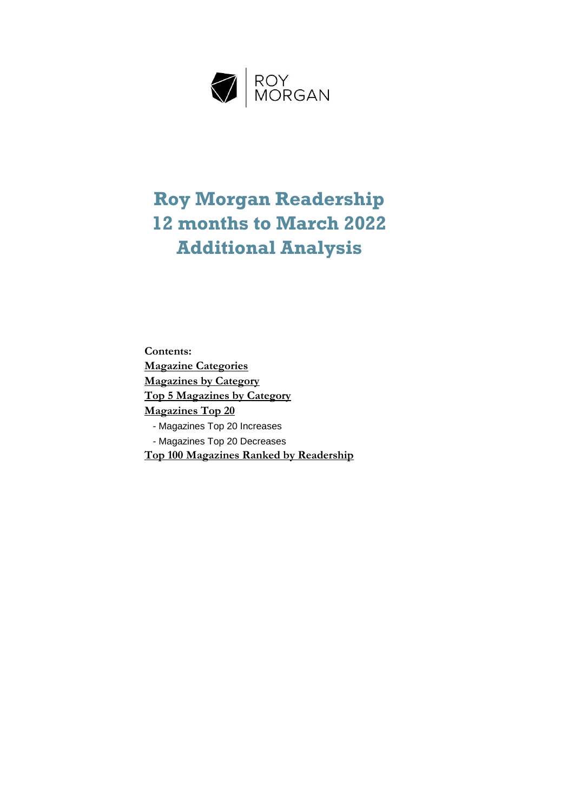

## **Roy Morgan Readership 12 months to March 2022 Additional Analysis**

**Contents: Top 5 Magazines by Category Magazines by Category Magazine Categories Magazines Top 20** - Magazines Top 20 Decreases - Magazines Top 20 Increases **Top 100 Magazines Ranked by Readership**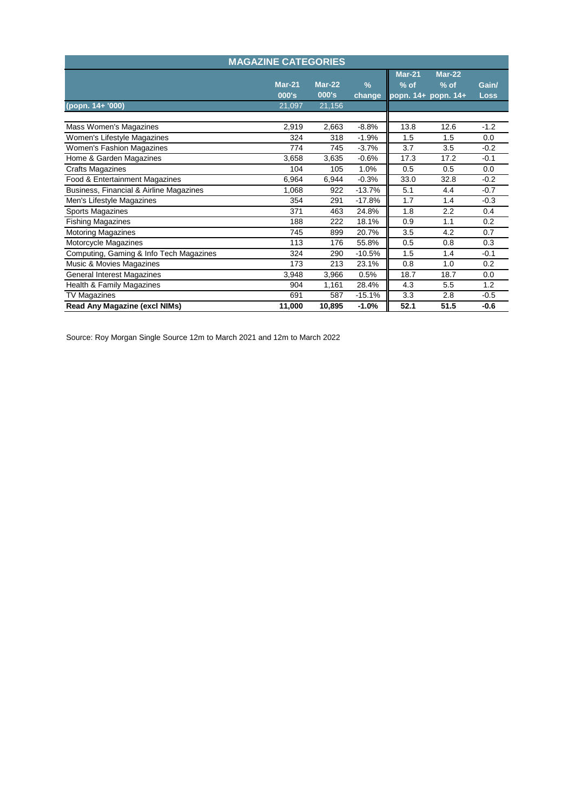|                                         | <b>MAGAZINE CATEGORIES</b> |                   |                         |                         |                                           |                      |
|-----------------------------------------|----------------------------|-------------------|-------------------------|-------------------------|-------------------------------------------|----------------------|
|                                         | $Mar-21$<br>000's          | $Mar-22$<br>000's | $\frac{9}{6}$<br>change | <b>Mar-21</b><br>$%$ of | $Mar-22$<br>$%$ of<br>popn. 14+ popn. 14+ | Gain/<br><b>Loss</b> |
| (popn. 14+ '000)                        | 21,097                     | 21,156            |                         |                         |                                           |                      |
| Mass Women's Magazines                  | 2,919                      | 2,663             | $-8.8%$                 | 13.8                    | 12.6                                      | $-1.2$               |
| Women's Lifestyle Magazines             | 324                        | 318               | $-1.9%$                 | 1.5                     | 1.5                                       | 0.0                  |
| <b>Women's Fashion Magazines</b>        | 774                        | 745               | $-3.7%$                 | 3.7                     | 3.5                                       | $-0.2$               |
| Home & Garden Magazines                 | 3,658                      | 3,635             | $-0.6%$                 | 17.3                    | 17.2                                      | $-0.1$               |
| <b>Crafts Magazines</b>                 | 104                        | 105               | 1.0%                    | 0.5                     | 0.5                                       | 0.0                  |
| Food & Entertainment Magazines          | 6,964                      | 6,944             | $-0.3%$                 | 33.0                    | 32.8                                      | $-0.2$               |
| Business, Financial & Airline Magazines | 1,068                      | 922               | $-13.7%$                | 5.1                     | 4.4                                       | $-0.7$               |
| Men's Lifestyle Magazines               | 354                        | 291               | $-17.8%$                | 1.7                     | 1.4                                       | $-0.3$               |
| Sports Magazines                        | 371                        | 463               | 24.8%                   | 1.8                     | 2.2                                       | 0.4                  |
| <b>Fishing Magazines</b>                | 188                        | 222               | 18.1%                   | 0.9                     | 1.1                                       | 0.2                  |
| <b>Motoring Magazines</b>               | 745                        | 899               | 20.7%                   | 3.5                     | 4.2                                       | 0.7                  |
| Motorcycle Magazines                    | 113                        | 176               | 55.8%                   | 0.5                     | 0.8                                       | 0.3                  |
| Computing, Gaming & Info Tech Magazines | 324                        | 290               | $-10.5%$                | 1.5                     | 1.4                                       | $-0.1$               |
| Music & Movies Magazines                | 173                        | 213               | 23.1%                   | 0.8                     | 1.0                                       | 0.2                  |
| <b>General Interest Magazines</b>       | 3,948                      | 3,966             | 0.5%                    | 18.7                    | 18.7                                      | 0.0                  |
| Health & Family Magazines               | 904                        | 1,161             | 28.4%                   | 4.3                     | 5.5                                       | 1.2                  |
| <b>TV Magazines</b>                     | 691                        | 587               | $-15.1%$                | 3.3                     | 2.8                                       | $-0.5$               |
| <b>Read Any Magazine (excl NIMs)</b>    | 11,000                     | 10,895            | $-1.0%$                 | 52.1                    | 51.5                                      | $-0.6$               |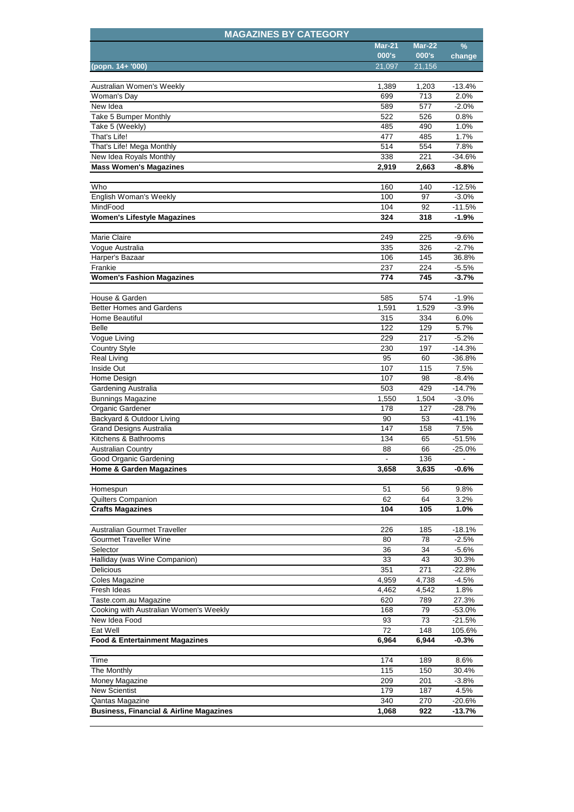| <b>MAGAZINES BY CATEGORY</b>                       |               |               |                  |
|----------------------------------------------------|---------------|---------------|------------------|
|                                                    | <b>Mar-21</b> | <b>Mar-22</b> | $\frac{9}{6}$    |
|                                                    | 000's         | 000's         | change           |
| (popn. 14+ '000)                                   | 21,097        | 21,156        |                  |
|                                                    |               |               |                  |
| Australian Women's Weekly                          | 1,389         | 1,203         | $-13.4%$<br>2.0% |
| Woman's Day<br>New Idea                            | 699<br>589    | 713<br>577    | $-2.0%$          |
| Take 5 Bumper Monthly                              | 522           | 526           | 0.8%             |
| Take 5 (Weekly)                                    | 485           | 490           | 1.0%             |
| That's Life!                                       | 477           | 485           | 1.7%             |
| That's Life! Mega Monthly                          | 514           | 554           | 7.8%             |
| New Idea Royals Monthly                            | 338           | 221           | -34.6%           |
| <b>Mass Women's Magazines</b>                      | 2,919         | 2,663         | $-8.8%$          |
|                                                    |               |               |                  |
| Who                                                | 160           | 140           | $-12.5%$         |
| English Woman's Weekly                             | 100           | 97            | $-3.0%$          |
| MindFood                                           | 104           | 92            | $-11.5%$         |
| <b>Women's Lifestyle Magazines</b>                 | 324           | 318           | $-1.9%$          |
|                                                    |               |               |                  |
| Marie Claire                                       | 249           | 225           | $-9.6%$          |
| Vogue Australia                                    | 335           | 326           | $-2.7%$          |
| Harper's Bazaar                                    | 106           | 145           | 36.8%            |
| Frankie                                            | 237           | 224           | $-5.5%$          |
| <b>Women's Fashion Magazines</b>                   | 774           | 745           | $-3.7%$          |
|                                                    |               |               |                  |
| House & Garden                                     | 585           | 574           | $-1.9%$          |
| <b>Better Homes and Gardens</b>                    | 1,591         | 1,529         | $-3.9%$          |
| Home Beautiful                                     | 315           | 334           | 6.0%             |
| <b>Belle</b>                                       | 122           | 129           | 5.7%             |
| Vogue Living                                       | 229           | 217           | $-5.2%$          |
| <b>Country Style</b>                               | 230           | 197           | $-14.3%$         |
| <b>Real Living</b>                                 | 95            | 60            | $-36.8%$         |
| Inside Out                                         | 107           | 115           | 7.5%             |
| Home Design                                        | 107           | 98            | $-8.4%$          |
| Gardening Australia                                | 503           | 429           | $-14.7%$         |
| <b>Bunnings Magazine</b>                           | 1,550         | 1,504         | $-3.0%$          |
| Organic Gardener                                   | 178           | 127           | $-28.7%$         |
| Backyard & Outdoor Living                          | 90            | 53            | -41.1%           |
| <b>Grand Designs Australia</b>                     | 147           | 158           | 7.5%             |
| Kitchens & Bathrooms                               | 134           | 65            | -51.5%           |
| <b>Australian Country</b>                          | 88            | 66            | $-25.0%$         |
| Good Organic Gardening                             |               | 136           |                  |
| <b>Home &amp; Garden Magazines</b>                 | 3,658         | 3,635         | $-0.6%$          |
|                                                    | 51            | 56            | 9.8%             |
| Homespun<br>Quilters Companion                     | 62            | 64            | 3.2%             |
| <b>Crafts Magazines</b>                            | 104           | 105           | 1.0%             |
|                                                    |               |               |                  |
| Australian Gourmet Traveller                       | 226           | 185           | $-18.1%$         |
| <b>Gourmet Traveller Wine</b>                      | 80            | 78            | $-2.5%$          |
| Selector                                           | 36            | 34            | $-5.6%$          |
| Halliday (was Wine Companion)                      | 33            | 43            | 30.3%            |
| <b>Delicious</b>                                   | 351           | 271           | $-22.8%$         |
| <b>Coles Magazine</b>                              | 4,959         | 4,738         | $-4.5%$          |
| Fresh Ideas                                        | 4,462         | 4,542         | 1.8%             |
| Taste.com.au Magazine                              | 620           | 789           | 27.3%            |
| Cooking with Australian Women's Weekly             | 168           | 79            | $-53.0%$         |
| New Idea Food                                      | 93            | 73            | $-21.5%$         |
| Eat Well                                           | 72            | 148           | 105.6%           |
| <b>Food &amp; Entertainment Magazines</b>          | 6,964         | 6,944         | $-0.3%$          |
|                                                    |               |               |                  |
| Time                                               | 174           | 189           | 8.6%             |
| The Monthly                                        | 115           | 150           | 30.4%            |
| Money Magazine                                     | 209           | 201           | $-3.8%$          |
| <b>New Scientist</b>                               | 179           | 187           | 4.5%             |
| Qantas Magazine                                    | 340           | 270           | $-20.6%$         |
| <b>Business, Financial &amp; Airline Magazines</b> | 1,068         | 922           | $-13.7%$         |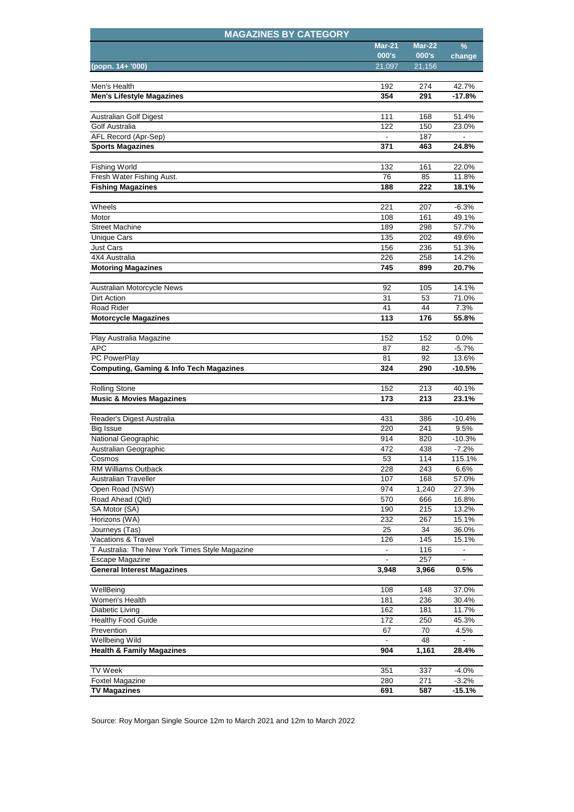| <b>Mar-21</b><br><b>Mar-22</b><br>℅<br>000's<br>000's<br>change<br>21,097<br>21,156<br>(popn. 14+ '000)<br>Men's Health<br>192<br>274<br>42.7%<br>354<br>291<br><b>Men's Lifestyle Magazines</b><br>-17.8%<br>111<br>168<br>51.4%<br>Australian Golf Digest<br>122<br>Golf Australia<br>150<br>23.0%<br>187<br>AFL Record (Apr-Sep)<br>24.8%<br><b>Sports Magazines</b><br>371<br>463<br><b>Fishing World</b><br>132<br>161<br>22.0%<br>Fresh Water Fishing Aust.<br>76<br>85<br>11.8%<br><b>Fishing Magazines</b><br>188<br>222<br>18.1%<br>Wheels<br>221<br>207<br>$-6.3%$<br>Motor<br>108<br>161<br>49.1%<br>298<br>57.7%<br><b>Street Machine</b><br>189<br><b>Unique Cars</b><br>135<br>202<br>49.6%<br>156<br><b>Just Cars</b><br>236<br>51.3%<br>226<br>258<br>14.2%<br>4X4 Australia<br>20.7%<br><b>Motoring Magazines</b><br>745<br>899<br>92<br>105<br>14.1%<br>Australian Motorcycle News<br>Dirt Action<br>31<br>53<br>71.0%<br>Road Rider<br>41<br>44<br>7.3%<br>113<br>176<br>55.8%<br><b>Motorcycle Magazines</b><br>152<br>152<br>0.0%<br>Play Australia Magazine<br><b>APC</b><br>87<br>82<br>$-5.7%$<br>92<br>PC PowerPlay<br>13.6%<br>81<br><b>Computing, Gaming &amp; Info Tech Magazines</b><br>324<br>290<br>-10.5%<br><b>Rolling Stone</b><br>152<br>213<br>40.1%<br>213<br><b>Music &amp; Movies Magazines</b><br>173<br>23.1%<br>Reader's Digest Australia<br>431<br>386<br>$-10.4%$<br><b>Big Issue</b><br>220<br>241<br>9.5%<br>National Geographic<br>914<br>820<br>$-10.3%$<br>Australian Geographic<br>472<br>438<br>$-7.2%$<br>114<br>115.1%<br>53<br>Cosmos<br><b>RM Williams Outback</b><br>228<br>243<br>6.6%<br><b>Australian Traveller</b><br>107<br>168<br>57.0%<br>Open Road (NSW)<br>974<br>1,240<br>27.3%<br>Road Ahead (Qld)<br>570<br>666<br>16.8%<br>SA Motor (SA)<br>190<br>215<br>13.2%<br>232<br>Horizons (WA)<br>267<br>15.1%<br>34<br>36.0%<br>Journeys (Tas)<br>25<br>Vacations & Travel<br>126<br>145<br>15.1%<br>T Australia: The New York Times Style Magazine<br>116<br>$\overline{\phantom{a}}$<br>Escape Magazine<br>257<br><b>General Interest Magazines</b><br>0.5%<br>3,948<br>3,966<br>WellBeing<br>108<br>148<br>37.0%<br>Women's Health<br>181<br>236<br>30.4%<br>Diabetic Living<br>162<br>11.7%<br>181<br><b>Healthy Food Guide</b><br>250<br>172<br>45.3%<br>Prevention<br>70<br>67<br>4.5%<br><b>Wellbeing Wild</b><br>48<br><b>Health &amp; Family Magazines</b><br>904<br>1,161<br>28.4%<br><b>TV Week</b><br>351<br>337<br>$-4.0%$<br><b>Foxtel Magazine</b><br>280<br>$\overline{271}$<br>$-3.2%$<br><b>TV Magazines</b><br>691<br>$-15.1%$<br>587 | <b>MAGAZINES BY CATEGORY</b> |  |  |
|-------------------------------------------------------------------------------------------------------------------------------------------------------------------------------------------------------------------------------------------------------------------------------------------------------------------------------------------------------------------------------------------------------------------------------------------------------------------------------------------------------------------------------------------------------------------------------------------------------------------------------------------------------------------------------------------------------------------------------------------------------------------------------------------------------------------------------------------------------------------------------------------------------------------------------------------------------------------------------------------------------------------------------------------------------------------------------------------------------------------------------------------------------------------------------------------------------------------------------------------------------------------------------------------------------------------------------------------------------------------------------------------------------------------------------------------------------------------------------------------------------------------------------------------------------------------------------------------------------------------------------------------------------------------------------------------------------------------------------------------------------------------------------------------------------------------------------------------------------------------------------------------------------------------------------------------------------------------------------------------------------------------------------------------------------------------------------------------------------------------------------------------------------------------------------------------------------------------------------------------------------------------------------------------------------------------------------------------------------------------------------------------------------------------------------------------------------------------------------------------------------------------------------------------------------------------------------------------------------------------------|------------------------------|--|--|
|                                                                                                                                                                                                                                                                                                                                                                                                                                                                                                                                                                                                                                                                                                                                                                                                                                                                                                                                                                                                                                                                                                                                                                                                                                                                                                                                                                                                                                                                                                                                                                                                                                                                                                                                                                                                                                                                                                                                                                                                                                                                                                                                                                                                                                                                                                                                                                                                                                                                                                                                                                                                                         |                              |  |  |
|                                                                                                                                                                                                                                                                                                                                                                                                                                                                                                                                                                                                                                                                                                                                                                                                                                                                                                                                                                                                                                                                                                                                                                                                                                                                                                                                                                                                                                                                                                                                                                                                                                                                                                                                                                                                                                                                                                                                                                                                                                                                                                                                                                                                                                                                                                                                                                                                                                                                                                                                                                                                                         |                              |  |  |
|                                                                                                                                                                                                                                                                                                                                                                                                                                                                                                                                                                                                                                                                                                                                                                                                                                                                                                                                                                                                                                                                                                                                                                                                                                                                                                                                                                                                                                                                                                                                                                                                                                                                                                                                                                                                                                                                                                                                                                                                                                                                                                                                                                                                                                                                                                                                                                                                                                                                                                                                                                                                                         |                              |  |  |
|                                                                                                                                                                                                                                                                                                                                                                                                                                                                                                                                                                                                                                                                                                                                                                                                                                                                                                                                                                                                                                                                                                                                                                                                                                                                                                                                                                                                                                                                                                                                                                                                                                                                                                                                                                                                                                                                                                                                                                                                                                                                                                                                                                                                                                                                                                                                                                                                                                                                                                                                                                                                                         |                              |  |  |
|                                                                                                                                                                                                                                                                                                                                                                                                                                                                                                                                                                                                                                                                                                                                                                                                                                                                                                                                                                                                                                                                                                                                                                                                                                                                                                                                                                                                                                                                                                                                                                                                                                                                                                                                                                                                                                                                                                                                                                                                                                                                                                                                                                                                                                                                                                                                                                                                                                                                                                                                                                                                                         |                              |  |  |
|                                                                                                                                                                                                                                                                                                                                                                                                                                                                                                                                                                                                                                                                                                                                                                                                                                                                                                                                                                                                                                                                                                                                                                                                                                                                                                                                                                                                                                                                                                                                                                                                                                                                                                                                                                                                                                                                                                                                                                                                                                                                                                                                                                                                                                                                                                                                                                                                                                                                                                                                                                                                                         |                              |  |  |
|                                                                                                                                                                                                                                                                                                                                                                                                                                                                                                                                                                                                                                                                                                                                                                                                                                                                                                                                                                                                                                                                                                                                                                                                                                                                                                                                                                                                                                                                                                                                                                                                                                                                                                                                                                                                                                                                                                                                                                                                                                                                                                                                                                                                                                                                                                                                                                                                                                                                                                                                                                                                                         |                              |  |  |
|                                                                                                                                                                                                                                                                                                                                                                                                                                                                                                                                                                                                                                                                                                                                                                                                                                                                                                                                                                                                                                                                                                                                                                                                                                                                                                                                                                                                                                                                                                                                                                                                                                                                                                                                                                                                                                                                                                                                                                                                                                                                                                                                                                                                                                                                                                                                                                                                                                                                                                                                                                                                                         |                              |  |  |
|                                                                                                                                                                                                                                                                                                                                                                                                                                                                                                                                                                                                                                                                                                                                                                                                                                                                                                                                                                                                                                                                                                                                                                                                                                                                                                                                                                                                                                                                                                                                                                                                                                                                                                                                                                                                                                                                                                                                                                                                                                                                                                                                                                                                                                                                                                                                                                                                                                                                                                                                                                                                                         |                              |  |  |
|                                                                                                                                                                                                                                                                                                                                                                                                                                                                                                                                                                                                                                                                                                                                                                                                                                                                                                                                                                                                                                                                                                                                                                                                                                                                                                                                                                                                                                                                                                                                                                                                                                                                                                                                                                                                                                                                                                                                                                                                                                                                                                                                                                                                                                                                                                                                                                                                                                                                                                                                                                                                                         |                              |  |  |
|                                                                                                                                                                                                                                                                                                                                                                                                                                                                                                                                                                                                                                                                                                                                                                                                                                                                                                                                                                                                                                                                                                                                                                                                                                                                                                                                                                                                                                                                                                                                                                                                                                                                                                                                                                                                                                                                                                                                                                                                                                                                                                                                                                                                                                                                                                                                                                                                                                                                                                                                                                                                                         |                              |  |  |
|                                                                                                                                                                                                                                                                                                                                                                                                                                                                                                                                                                                                                                                                                                                                                                                                                                                                                                                                                                                                                                                                                                                                                                                                                                                                                                                                                                                                                                                                                                                                                                                                                                                                                                                                                                                                                                                                                                                                                                                                                                                                                                                                                                                                                                                                                                                                                                                                                                                                                                                                                                                                                         |                              |  |  |
|                                                                                                                                                                                                                                                                                                                                                                                                                                                                                                                                                                                                                                                                                                                                                                                                                                                                                                                                                                                                                                                                                                                                                                                                                                                                                                                                                                                                                                                                                                                                                                                                                                                                                                                                                                                                                                                                                                                                                                                                                                                                                                                                                                                                                                                                                                                                                                                                                                                                                                                                                                                                                         |                              |  |  |
|                                                                                                                                                                                                                                                                                                                                                                                                                                                                                                                                                                                                                                                                                                                                                                                                                                                                                                                                                                                                                                                                                                                                                                                                                                                                                                                                                                                                                                                                                                                                                                                                                                                                                                                                                                                                                                                                                                                                                                                                                                                                                                                                                                                                                                                                                                                                                                                                                                                                                                                                                                                                                         |                              |  |  |
|                                                                                                                                                                                                                                                                                                                                                                                                                                                                                                                                                                                                                                                                                                                                                                                                                                                                                                                                                                                                                                                                                                                                                                                                                                                                                                                                                                                                                                                                                                                                                                                                                                                                                                                                                                                                                                                                                                                                                                                                                                                                                                                                                                                                                                                                                                                                                                                                                                                                                                                                                                                                                         |                              |  |  |
|                                                                                                                                                                                                                                                                                                                                                                                                                                                                                                                                                                                                                                                                                                                                                                                                                                                                                                                                                                                                                                                                                                                                                                                                                                                                                                                                                                                                                                                                                                                                                                                                                                                                                                                                                                                                                                                                                                                                                                                                                                                                                                                                                                                                                                                                                                                                                                                                                                                                                                                                                                                                                         |                              |  |  |
|                                                                                                                                                                                                                                                                                                                                                                                                                                                                                                                                                                                                                                                                                                                                                                                                                                                                                                                                                                                                                                                                                                                                                                                                                                                                                                                                                                                                                                                                                                                                                                                                                                                                                                                                                                                                                                                                                                                                                                                                                                                                                                                                                                                                                                                                                                                                                                                                                                                                                                                                                                                                                         |                              |  |  |
|                                                                                                                                                                                                                                                                                                                                                                                                                                                                                                                                                                                                                                                                                                                                                                                                                                                                                                                                                                                                                                                                                                                                                                                                                                                                                                                                                                                                                                                                                                                                                                                                                                                                                                                                                                                                                                                                                                                                                                                                                                                                                                                                                                                                                                                                                                                                                                                                                                                                                                                                                                                                                         |                              |  |  |
|                                                                                                                                                                                                                                                                                                                                                                                                                                                                                                                                                                                                                                                                                                                                                                                                                                                                                                                                                                                                                                                                                                                                                                                                                                                                                                                                                                                                                                                                                                                                                                                                                                                                                                                                                                                                                                                                                                                                                                                                                                                                                                                                                                                                                                                                                                                                                                                                                                                                                                                                                                                                                         |                              |  |  |
|                                                                                                                                                                                                                                                                                                                                                                                                                                                                                                                                                                                                                                                                                                                                                                                                                                                                                                                                                                                                                                                                                                                                                                                                                                                                                                                                                                                                                                                                                                                                                                                                                                                                                                                                                                                                                                                                                                                                                                                                                                                                                                                                                                                                                                                                                                                                                                                                                                                                                                                                                                                                                         |                              |  |  |
|                                                                                                                                                                                                                                                                                                                                                                                                                                                                                                                                                                                                                                                                                                                                                                                                                                                                                                                                                                                                                                                                                                                                                                                                                                                                                                                                                                                                                                                                                                                                                                                                                                                                                                                                                                                                                                                                                                                                                                                                                                                                                                                                                                                                                                                                                                                                                                                                                                                                                                                                                                                                                         |                              |  |  |
|                                                                                                                                                                                                                                                                                                                                                                                                                                                                                                                                                                                                                                                                                                                                                                                                                                                                                                                                                                                                                                                                                                                                                                                                                                                                                                                                                                                                                                                                                                                                                                                                                                                                                                                                                                                                                                                                                                                                                                                                                                                                                                                                                                                                                                                                                                                                                                                                                                                                                                                                                                                                                         |                              |  |  |
|                                                                                                                                                                                                                                                                                                                                                                                                                                                                                                                                                                                                                                                                                                                                                                                                                                                                                                                                                                                                                                                                                                                                                                                                                                                                                                                                                                                                                                                                                                                                                                                                                                                                                                                                                                                                                                                                                                                                                                                                                                                                                                                                                                                                                                                                                                                                                                                                                                                                                                                                                                                                                         |                              |  |  |
|                                                                                                                                                                                                                                                                                                                                                                                                                                                                                                                                                                                                                                                                                                                                                                                                                                                                                                                                                                                                                                                                                                                                                                                                                                                                                                                                                                                                                                                                                                                                                                                                                                                                                                                                                                                                                                                                                                                                                                                                                                                                                                                                                                                                                                                                                                                                                                                                                                                                                                                                                                                                                         |                              |  |  |
|                                                                                                                                                                                                                                                                                                                                                                                                                                                                                                                                                                                                                                                                                                                                                                                                                                                                                                                                                                                                                                                                                                                                                                                                                                                                                                                                                                                                                                                                                                                                                                                                                                                                                                                                                                                                                                                                                                                                                                                                                                                                                                                                                                                                                                                                                                                                                                                                                                                                                                                                                                                                                         |                              |  |  |
|                                                                                                                                                                                                                                                                                                                                                                                                                                                                                                                                                                                                                                                                                                                                                                                                                                                                                                                                                                                                                                                                                                                                                                                                                                                                                                                                                                                                                                                                                                                                                                                                                                                                                                                                                                                                                                                                                                                                                                                                                                                                                                                                                                                                                                                                                                                                                                                                                                                                                                                                                                                                                         |                              |  |  |
|                                                                                                                                                                                                                                                                                                                                                                                                                                                                                                                                                                                                                                                                                                                                                                                                                                                                                                                                                                                                                                                                                                                                                                                                                                                                                                                                                                                                                                                                                                                                                                                                                                                                                                                                                                                                                                                                                                                                                                                                                                                                                                                                                                                                                                                                                                                                                                                                                                                                                                                                                                                                                         |                              |  |  |
|                                                                                                                                                                                                                                                                                                                                                                                                                                                                                                                                                                                                                                                                                                                                                                                                                                                                                                                                                                                                                                                                                                                                                                                                                                                                                                                                                                                                                                                                                                                                                                                                                                                                                                                                                                                                                                                                                                                                                                                                                                                                                                                                                                                                                                                                                                                                                                                                                                                                                                                                                                                                                         |                              |  |  |
|                                                                                                                                                                                                                                                                                                                                                                                                                                                                                                                                                                                                                                                                                                                                                                                                                                                                                                                                                                                                                                                                                                                                                                                                                                                                                                                                                                                                                                                                                                                                                                                                                                                                                                                                                                                                                                                                                                                                                                                                                                                                                                                                                                                                                                                                                                                                                                                                                                                                                                                                                                                                                         |                              |  |  |
|                                                                                                                                                                                                                                                                                                                                                                                                                                                                                                                                                                                                                                                                                                                                                                                                                                                                                                                                                                                                                                                                                                                                                                                                                                                                                                                                                                                                                                                                                                                                                                                                                                                                                                                                                                                                                                                                                                                                                                                                                                                                                                                                                                                                                                                                                                                                                                                                                                                                                                                                                                                                                         |                              |  |  |
|                                                                                                                                                                                                                                                                                                                                                                                                                                                                                                                                                                                                                                                                                                                                                                                                                                                                                                                                                                                                                                                                                                                                                                                                                                                                                                                                                                                                                                                                                                                                                                                                                                                                                                                                                                                                                                                                                                                                                                                                                                                                                                                                                                                                                                                                                                                                                                                                                                                                                                                                                                                                                         |                              |  |  |
|                                                                                                                                                                                                                                                                                                                                                                                                                                                                                                                                                                                                                                                                                                                                                                                                                                                                                                                                                                                                                                                                                                                                                                                                                                                                                                                                                                                                                                                                                                                                                                                                                                                                                                                                                                                                                                                                                                                                                                                                                                                                                                                                                                                                                                                                                                                                                                                                                                                                                                                                                                                                                         |                              |  |  |
|                                                                                                                                                                                                                                                                                                                                                                                                                                                                                                                                                                                                                                                                                                                                                                                                                                                                                                                                                                                                                                                                                                                                                                                                                                                                                                                                                                                                                                                                                                                                                                                                                                                                                                                                                                                                                                                                                                                                                                                                                                                                                                                                                                                                                                                                                                                                                                                                                                                                                                                                                                                                                         |                              |  |  |
|                                                                                                                                                                                                                                                                                                                                                                                                                                                                                                                                                                                                                                                                                                                                                                                                                                                                                                                                                                                                                                                                                                                                                                                                                                                                                                                                                                                                                                                                                                                                                                                                                                                                                                                                                                                                                                                                                                                                                                                                                                                                                                                                                                                                                                                                                                                                                                                                                                                                                                                                                                                                                         |                              |  |  |
|                                                                                                                                                                                                                                                                                                                                                                                                                                                                                                                                                                                                                                                                                                                                                                                                                                                                                                                                                                                                                                                                                                                                                                                                                                                                                                                                                                                                                                                                                                                                                                                                                                                                                                                                                                                                                                                                                                                                                                                                                                                                                                                                                                                                                                                                                                                                                                                                                                                                                                                                                                                                                         |                              |  |  |
|                                                                                                                                                                                                                                                                                                                                                                                                                                                                                                                                                                                                                                                                                                                                                                                                                                                                                                                                                                                                                                                                                                                                                                                                                                                                                                                                                                                                                                                                                                                                                                                                                                                                                                                                                                                                                                                                                                                                                                                                                                                                                                                                                                                                                                                                                                                                                                                                                                                                                                                                                                                                                         |                              |  |  |
|                                                                                                                                                                                                                                                                                                                                                                                                                                                                                                                                                                                                                                                                                                                                                                                                                                                                                                                                                                                                                                                                                                                                                                                                                                                                                                                                                                                                                                                                                                                                                                                                                                                                                                                                                                                                                                                                                                                                                                                                                                                                                                                                                                                                                                                                                                                                                                                                                                                                                                                                                                                                                         |                              |  |  |
|                                                                                                                                                                                                                                                                                                                                                                                                                                                                                                                                                                                                                                                                                                                                                                                                                                                                                                                                                                                                                                                                                                                                                                                                                                                                                                                                                                                                                                                                                                                                                                                                                                                                                                                                                                                                                                                                                                                                                                                                                                                                                                                                                                                                                                                                                                                                                                                                                                                                                                                                                                                                                         |                              |  |  |
|                                                                                                                                                                                                                                                                                                                                                                                                                                                                                                                                                                                                                                                                                                                                                                                                                                                                                                                                                                                                                                                                                                                                                                                                                                                                                                                                                                                                                                                                                                                                                                                                                                                                                                                                                                                                                                                                                                                                                                                                                                                                                                                                                                                                                                                                                                                                                                                                                                                                                                                                                                                                                         |                              |  |  |
|                                                                                                                                                                                                                                                                                                                                                                                                                                                                                                                                                                                                                                                                                                                                                                                                                                                                                                                                                                                                                                                                                                                                                                                                                                                                                                                                                                                                                                                                                                                                                                                                                                                                                                                                                                                                                                                                                                                                                                                                                                                                                                                                                                                                                                                                                                                                                                                                                                                                                                                                                                                                                         |                              |  |  |
|                                                                                                                                                                                                                                                                                                                                                                                                                                                                                                                                                                                                                                                                                                                                                                                                                                                                                                                                                                                                                                                                                                                                                                                                                                                                                                                                                                                                                                                                                                                                                                                                                                                                                                                                                                                                                                                                                                                                                                                                                                                                                                                                                                                                                                                                                                                                                                                                                                                                                                                                                                                                                         |                              |  |  |
|                                                                                                                                                                                                                                                                                                                                                                                                                                                                                                                                                                                                                                                                                                                                                                                                                                                                                                                                                                                                                                                                                                                                                                                                                                                                                                                                                                                                                                                                                                                                                                                                                                                                                                                                                                                                                                                                                                                                                                                                                                                                                                                                                                                                                                                                                                                                                                                                                                                                                                                                                                                                                         |                              |  |  |
|                                                                                                                                                                                                                                                                                                                                                                                                                                                                                                                                                                                                                                                                                                                                                                                                                                                                                                                                                                                                                                                                                                                                                                                                                                                                                                                                                                                                                                                                                                                                                                                                                                                                                                                                                                                                                                                                                                                                                                                                                                                                                                                                                                                                                                                                                                                                                                                                                                                                                                                                                                                                                         |                              |  |  |
|                                                                                                                                                                                                                                                                                                                                                                                                                                                                                                                                                                                                                                                                                                                                                                                                                                                                                                                                                                                                                                                                                                                                                                                                                                                                                                                                                                                                                                                                                                                                                                                                                                                                                                                                                                                                                                                                                                                                                                                                                                                                                                                                                                                                                                                                                                                                                                                                                                                                                                                                                                                                                         |                              |  |  |
|                                                                                                                                                                                                                                                                                                                                                                                                                                                                                                                                                                                                                                                                                                                                                                                                                                                                                                                                                                                                                                                                                                                                                                                                                                                                                                                                                                                                                                                                                                                                                                                                                                                                                                                                                                                                                                                                                                                                                                                                                                                                                                                                                                                                                                                                                                                                                                                                                                                                                                                                                                                                                         |                              |  |  |
|                                                                                                                                                                                                                                                                                                                                                                                                                                                                                                                                                                                                                                                                                                                                                                                                                                                                                                                                                                                                                                                                                                                                                                                                                                                                                                                                                                                                                                                                                                                                                                                                                                                                                                                                                                                                                                                                                                                                                                                                                                                                                                                                                                                                                                                                                                                                                                                                                                                                                                                                                                                                                         |                              |  |  |
|                                                                                                                                                                                                                                                                                                                                                                                                                                                                                                                                                                                                                                                                                                                                                                                                                                                                                                                                                                                                                                                                                                                                                                                                                                                                                                                                                                                                                                                                                                                                                                                                                                                                                                                                                                                                                                                                                                                                                                                                                                                                                                                                                                                                                                                                                                                                                                                                                                                                                                                                                                                                                         |                              |  |  |
|                                                                                                                                                                                                                                                                                                                                                                                                                                                                                                                                                                                                                                                                                                                                                                                                                                                                                                                                                                                                                                                                                                                                                                                                                                                                                                                                                                                                                                                                                                                                                                                                                                                                                                                                                                                                                                                                                                                                                                                                                                                                                                                                                                                                                                                                                                                                                                                                                                                                                                                                                                                                                         |                              |  |  |
|                                                                                                                                                                                                                                                                                                                                                                                                                                                                                                                                                                                                                                                                                                                                                                                                                                                                                                                                                                                                                                                                                                                                                                                                                                                                                                                                                                                                                                                                                                                                                                                                                                                                                                                                                                                                                                                                                                                                                                                                                                                                                                                                                                                                                                                                                                                                                                                                                                                                                                                                                                                                                         |                              |  |  |
|                                                                                                                                                                                                                                                                                                                                                                                                                                                                                                                                                                                                                                                                                                                                                                                                                                                                                                                                                                                                                                                                                                                                                                                                                                                                                                                                                                                                                                                                                                                                                                                                                                                                                                                                                                                                                                                                                                                                                                                                                                                                                                                                                                                                                                                                                                                                                                                                                                                                                                                                                                                                                         |                              |  |  |
|                                                                                                                                                                                                                                                                                                                                                                                                                                                                                                                                                                                                                                                                                                                                                                                                                                                                                                                                                                                                                                                                                                                                                                                                                                                                                                                                                                                                                                                                                                                                                                                                                                                                                                                                                                                                                                                                                                                                                                                                                                                                                                                                                                                                                                                                                                                                                                                                                                                                                                                                                                                                                         |                              |  |  |
|                                                                                                                                                                                                                                                                                                                                                                                                                                                                                                                                                                                                                                                                                                                                                                                                                                                                                                                                                                                                                                                                                                                                                                                                                                                                                                                                                                                                                                                                                                                                                                                                                                                                                                                                                                                                                                                                                                                                                                                                                                                                                                                                                                                                                                                                                                                                                                                                                                                                                                                                                                                                                         |                              |  |  |
|                                                                                                                                                                                                                                                                                                                                                                                                                                                                                                                                                                                                                                                                                                                                                                                                                                                                                                                                                                                                                                                                                                                                                                                                                                                                                                                                                                                                                                                                                                                                                                                                                                                                                                                                                                                                                                                                                                                                                                                                                                                                                                                                                                                                                                                                                                                                                                                                                                                                                                                                                                                                                         |                              |  |  |
|                                                                                                                                                                                                                                                                                                                                                                                                                                                                                                                                                                                                                                                                                                                                                                                                                                                                                                                                                                                                                                                                                                                                                                                                                                                                                                                                                                                                                                                                                                                                                                                                                                                                                                                                                                                                                                                                                                                                                                                                                                                                                                                                                                                                                                                                                                                                                                                                                                                                                                                                                                                                                         |                              |  |  |
|                                                                                                                                                                                                                                                                                                                                                                                                                                                                                                                                                                                                                                                                                                                                                                                                                                                                                                                                                                                                                                                                                                                                                                                                                                                                                                                                                                                                                                                                                                                                                                                                                                                                                                                                                                                                                                                                                                                                                                                                                                                                                                                                                                                                                                                                                                                                                                                                                                                                                                                                                                                                                         |                              |  |  |
|                                                                                                                                                                                                                                                                                                                                                                                                                                                                                                                                                                                                                                                                                                                                                                                                                                                                                                                                                                                                                                                                                                                                                                                                                                                                                                                                                                                                                                                                                                                                                                                                                                                                                                                                                                                                                                                                                                                                                                                                                                                                                                                                                                                                                                                                                                                                                                                                                                                                                                                                                                                                                         |                              |  |  |
|                                                                                                                                                                                                                                                                                                                                                                                                                                                                                                                                                                                                                                                                                                                                                                                                                                                                                                                                                                                                                                                                                                                                                                                                                                                                                                                                                                                                                                                                                                                                                                                                                                                                                                                                                                                                                                                                                                                                                                                                                                                                                                                                                                                                                                                                                                                                                                                                                                                                                                                                                                                                                         |                              |  |  |
|                                                                                                                                                                                                                                                                                                                                                                                                                                                                                                                                                                                                                                                                                                                                                                                                                                                                                                                                                                                                                                                                                                                                                                                                                                                                                                                                                                                                                                                                                                                                                                                                                                                                                                                                                                                                                                                                                                                                                                                                                                                                                                                                                                                                                                                                                                                                                                                                                                                                                                                                                                                                                         |                              |  |  |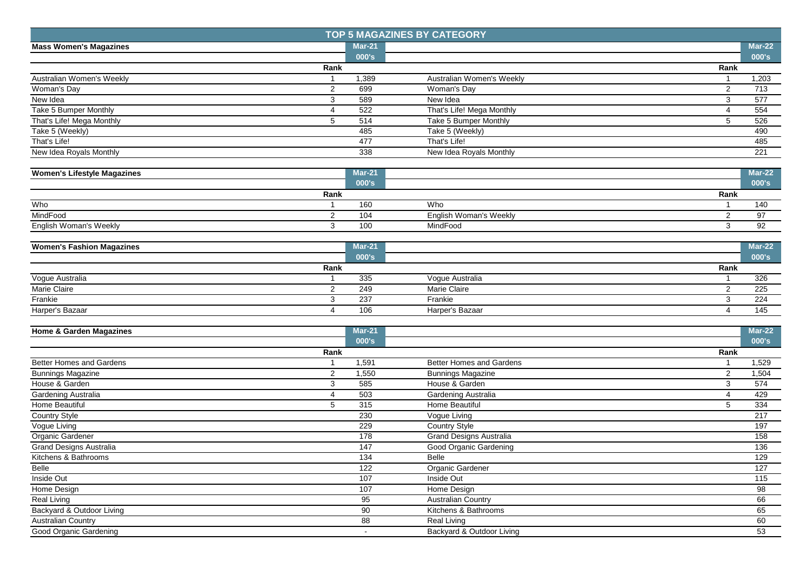|                                    |                |                  | <b>TOP 5 MAGAZINES BY CATEGORY</b> |                |                  |
|------------------------------------|----------------|------------------|------------------------------------|----------------|------------------|
| <b>Mass Women's Magazines</b>      |                | <b>Mar-21</b>    |                                    |                | $Mar-22$         |
|                                    |                | 000's            |                                    |                | 000's            |
|                                    | Rank           |                  |                                    | Rank           |                  |
| Australian Women's Weekly          | $\overline{1}$ | 1,389            | Australian Women's Weekly          |                | 1,203            |
| Woman's Day                        | $\overline{2}$ | 699              | Woman's Day                        | $\overline{2}$ | 713              |
| New Idea                           | 3              | 589              | New Idea                           | 3              | 577              |
| Take 5 Bumper Monthly              | 4              | 522              | That's Life! Mega Monthly          | $\overline{4}$ | 554              |
| That's Life! Mega Monthly          | 5              | 514              | Take 5 Bumper Monthly              | 5              | 526              |
| Take 5 (Weekly)                    |                | 485              | Take 5 (Weekly)                    |                | 490              |
| That's Life!                       |                | 477              | That's Life!                       |                | 485              |
| New Idea Royals Monthly            |                | 338              | New Idea Royals Monthly            |                | 221              |
| <b>Women's Lifestyle Magazines</b> |                | Mar-21           |                                    |                | <b>Mar-22</b>    |
|                                    |                | 000's            |                                    |                | 000's            |
|                                    | Rank           |                  |                                    | Rank           |                  |
| Who                                | $\mathbf{1}$   | 160              | Who                                |                | 140              |
| MindFood                           | $\overline{2}$ | 104              | English Woman's Weekly             | 2              | 97               |
| English Woman's Weekly             | 3              | 100              | MindFood                           | 3              | 92               |
|                                    |                |                  |                                    |                |                  |
| <b>Women's Fashion Magazines</b>   |                | <b>Mar-21</b>    |                                    |                | <b>Mar-22</b>    |
|                                    |                | 000's            |                                    |                | 000's            |
|                                    | Rank           |                  |                                    | Rank           |                  |
| Vogue Australia                    | $\mathbf{1}$   | 335              | Vogue Australia                    | $\overline{1}$ | 326              |
| Marie Claire                       | $\overline{2}$ | 249              | <b>Marie Claire</b>                | 2              | 225              |
| Frankie                            | 3              | 237              | Frankie                            | 3              | 224              |
| Harper's Bazaar                    | 4              | 106              | Harper's Bazaar                    | $\overline{4}$ | 145              |
|                                    |                |                  |                                    |                |                  |
| <b>Home &amp; Garden Magazines</b> |                | <b>Mar-21</b>    |                                    |                | $Mar-22$         |
|                                    |                | 000's            |                                    |                | 000's            |
|                                    | Rank           |                  |                                    | Rank           |                  |
| <b>Better Homes and Gardens</b>    | -1             | 1,591            | Better Homes and Gardens           |                | 1,529            |
| <b>Bunnings Magazine</b>           | $\overline{2}$ | 1,550            | <b>Bunnings Magazine</b>           | $\overline{c}$ | 1,504            |
| House & Garden                     | 3              | 585              | House & Garden                     | 3              | 574              |
| Gardening Australia                | 4              | 503              | Gardening Australia                | 4              | 429              |
| Home Beautiful                     | 5              | 315              | Home Beautiful                     | 5              | 334              |
| Country Style                      |                | 230              | Vogue Living                       |                | $\overline{217}$ |
| Vogue Living                       |                | 229              | <b>Country Style</b>               |                | 197              |
| Organic Gardener                   |                | 178              | <b>Grand Designs Australia</b>     |                | 158              |
| Grand Designs Australia            |                | 147              | Good Organic Gardening             |                | 136              |
| Kitchens & Bathrooms               |                | 134              | Belle                              |                | 129              |
| Belle                              |                | $\overline{122}$ | Organic Gardener                   |                | 127              |
| Inside Out                         |                | 107              | Inside Out                         |                | 115              |
| Home Design                        |                | 107              | Home Design                        |                | 98               |
| <b>Real Living</b>                 |                | 95               | <b>Australian Country</b>          |                | 66               |
| Backyard & Outdoor Living          |                | 90               | Kitchens & Bathrooms               |                | 65               |
| <b>Australian Country</b>          |                | 88               | Real Living                        |                | 60               |
| Good Organic Gardening             |                | $\sim$           | Backyard & Outdoor Living          |                | 53               |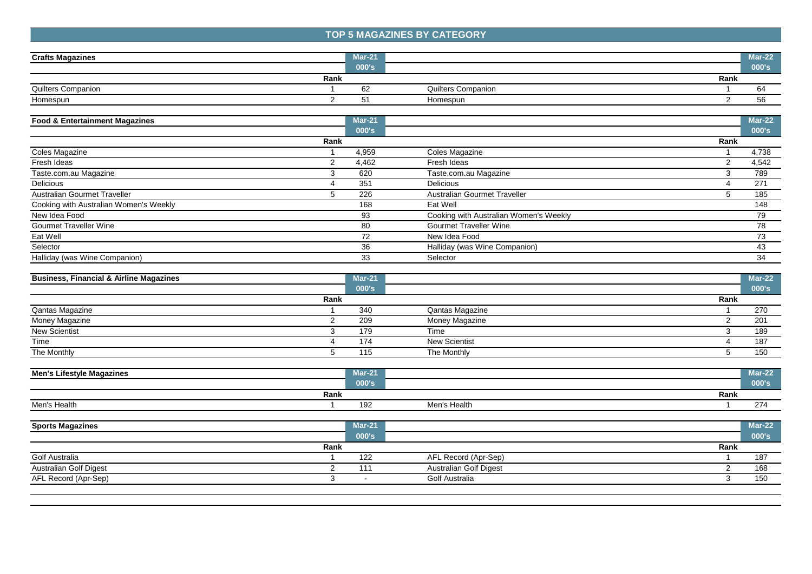## **TOP 5 MAGAZINES BY CATEGORY**

| <b>Crafts Magazines</b>   | Mar-21 |                           |      | Mar-22    |
|---------------------------|--------|---------------------------|------|-----------|
|                           | 000's  |                           |      | $ 000$ 's |
| Rank                      |        |                           | Rank |           |
| <b>Quilters Companion</b> | 62     | <b>Quilters Companion</b> |      | -64       |
| Homespun                  | ∽<br>ັ | Homespun                  |      | 56        |

| <b>Food &amp; Entertainment Magazines</b> |      | $Mar-21$ |                                        |      | $Mar-22$ |
|-------------------------------------------|------|----------|----------------------------------------|------|----------|
|                                           |      | 000's    |                                        |      | 000's    |
|                                           | Rank |          |                                        | Rank |          |
| Coles Magazine                            |      | 4,959    | Coles Magazine                         |      | 4,738    |
| Fresh Ideas                               |      | 4,462    | Fresh Ideas                            |      | 4,542    |
| Taste.com.au Magazine                     |      | 620      | Taste.com.au Magazine                  |      | 789      |
| <b>Delicious</b>                          |      | 351      | Delicious                              |      | 271      |
| Australian Gourmet Traveller              |      | 226      | Australian Gourmet Traveller           |      | 185      |
| Cooking with Australian Women's Weekly    |      | 168      | Eat Well                               |      | 148      |
| New Idea Food                             |      | 93       | Cooking with Australian Women's Weekly |      | 79       |
| <b>Gourmet Traveller Wine</b>             |      | 80       | <b>Gourmet Traveller Wine</b>          |      | 78       |
| Eat Well                                  |      | 72       | New Idea Food                          |      | 73       |
| Selector                                  |      | 36       | Halliday (was Wine Companion)          |      | 43       |
| Halliday (was Wine Companion)             |      | 33       | Selector                               |      | 34       |

| <b>Business, Financial &amp; Airline Magazines</b> |      | $Mar-21$ |                      |      | $Mar-22$     |
|----------------------------------------------------|------|----------|----------------------|------|--------------|
|                                                    |      | 000's    |                      |      | <b>000's</b> |
|                                                    | Rank |          |                      | Rank |              |
| Qantas Magazine                                    |      | 340      | Qantas Magazine      |      | 270          |
| Money Magazine                                     |      | 209      | Money Magazine       |      | 201          |
| <b>New Scientist</b>                               |      | 179      | Time                 |      | 189          |
| Time                                               |      | 174      | <b>New Scientist</b> |      | 187          |
| The Monthly                                        |      | 115      | The Monthly          |      | 150          |

| <b>Lifestyle Magazines</b><br>Men's | $\sim$<br>wiar-2 |              |      | $\n  Mar-22\n$ |
|-------------------------------------|------------------|--------------|------|----------------|
|                                     | 000's            |              |      | .000's         |
| Rank                                |                  |              | Rank |                |
|                                     | 192              | Men's Health |      | ~-             |

| $Mar-21$ |                               | $Mar-22$ |
|----------|-------------------------------|----------|
| 000's    |                               | 000's    |
|          |                               |          |
| 122      | AFL Record (Apr-Sep)          | 187      |
| 111      | <b>Australian Golf Digest</b> | 168      |
|          | Golf Australia                | 150      |
|          | Rank                          | Rank     |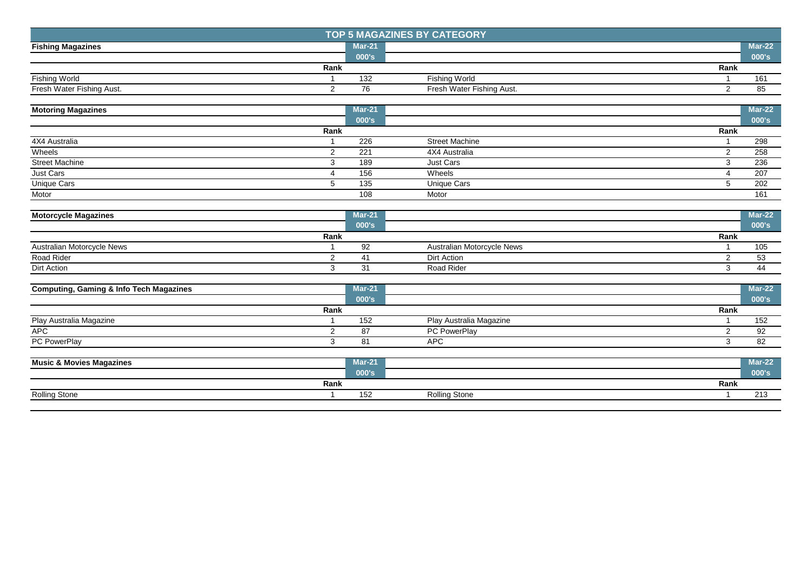| <b>TOP 5 MAGAZINES BY CATEGORY</b> |      |          |                           |      |          |
|------------------------------------|------|----------|---------------------------|------|----------|
| <b>Fishing Magazines</b>           |      | $Mar-21$ |                           |      | $Mar-22$ |
|                                    |      | 000's    |                           |      | 000's    |
|                                    | Rank |          |                           | Rank |          |
| Fishing World                      |      | 132      | Fishing World             |      | 161      |
| Fresh Water Fishing Aust.          |      | 76       | Fresh Water Fishing Aust. |      | 85       |

| <b>Motoring Magazines</b> |      | <b>Mar-21</b> |                       |      | $Mar-22$ |
|---------------------------|------|---------------|-----------------------|------|----------|
|                           |      | 000's         |                       |      | 000's    |
|                           | Rank |               |                       | Rank |          |
| 4X4 Australia             |      | 226           | <b>Street Machine</b> |      | 298      |
| Wheels                    |      | 221           | 4X4 Australia         |      | 258      |
| <b>Street Machine</b>     |      | 189           | Just Cars             |      | 236      |
| Just Cars                 |      | 156           | Wheels                |      | 207      |
| <b>Unique Cars</b>        |      | 135           | Unique Cars           |      | 202      |
| Motor                     |      | 108           | Motor                 |      | 161      |

| <b>Motorcycle Magazines</b> |      | $Mar-21$ |                            |      | $Mar-22$ |
|-----------------------------|------|----------|----------------------------|------|----------|
|                             |      | 000's    |                            |      | 000's    |
|                             | Rank |          |                            | Rank |          |
| Australian Motorcycle News  |      | 92       | Australian Motorcycle News |      | 105      |
| Road Rider                  |      |          | Dirt Action                |      | 53       |
| Dirt Action                 |      | . ب      | Road Rider                 |      |          |

| <b>Computing, Gaming &amp; Info Tech Magazines</b> |      | $Mar-21$ |                         |      | $Mar-22$ |
|----------------------------------------------------|------|----------|-------------------------|------|----------|
|                                                    |      | 000's    |                         |      | 000's    |
|                                                    | Rank |          |                         | Rank |          |
| Play Australia Magazine                            |      | 152      | Play Australia Magazine |      | 152      |
| <b>APC</b>                                         |      | 87       | PC PowerPlay            |      | 92       |
| PC PowerPlay                                       |      | -81      | <b>APC</b>              |      | 82       |
| <b>Music &amp; Movies Magazines</b>                |      | $Mar-21$ |                         |      | $Mar-22$ |
|                                                    |      | 000's    |                         |      | 000's    |

|                                   | ______ |                      |      | ____              |
|-----------------------------------|--------|----------------------|------|-------------------|
| Donk<br>Ralik                     |        |                      | Rank |                   |
| Rolling Stone<br>טווטוע<br>$\sim$ | ັ      | <b>Rolling Stone</b> |      | <b><i>L</i>IL</b> |
|                                   |        |                      |      |                   |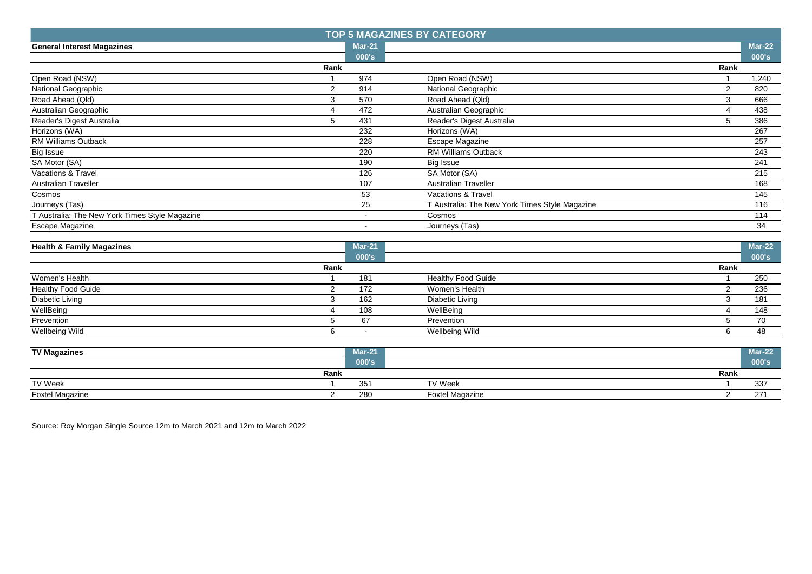|                                                |                |               | <b>TOP 5 MAGAZINES BY CATEGORY</b>             |                |                  |
|------------------------------------------------|----------------|---------------|------------------------------------------------|----------------|------------------|
| <b>General Interest Magazines</b>              |                | <b>Mar-21</b> |                                                |                | $Mar-22$         |
|                                                |                | 000's         |                                                |                | 000's            |
|                                                | Rank           |               |                                                | Rank           |                  |
| Open Road (NSW)                                |                | 974           | Open Road (NSW)                                |                | 1,240            |
| National Geographic                            | $\overline{2}$ | 914           | National Geographic                            | 2              | 820              |
| Road Ahead (Qld)                               | 3              | 570           | Road Ahead (Qld)                               | 3              | 666              |
| Australian Geographic                          | 4              | 472           | Australian Geographic                          | $\overline{4}$ | 438              |
| Reader's Digest Australia                      | 5              | 431           | Reader's Digest Australia                      | 5              | 386              |
| Horizons (WA)                                  |                | 232           | Horizons (WA)                                  |                | 267              |
| <b>RM Williams Outback</b>                     |                | 228           | Escape Magazine                                |                | 257              |
| Big Issue                                      |                | 220           | <b>RM Williams Outback</b>                     |                | 243              |
| SA Motor (SA)                                  |                | 190           | Big Issue                                      |                | $\overline{241}$ |
| Vacations & Travel                             |                | 126           | SA Motor (SA)                                  |                | 215              |
| Australian Traveller                           |                | 107           | Australian Traveller                           |                | 168              |
| Cosmos                                         |                | 53            | Vacations & Travel                             |                | 145              |
| Journeys (Tas)                                 |                | 25            | T Australia: The New York Times Style Magazine |                | 116              |
| T Australia: The New York Times Style Magazine |                | $\sim$        | Cosmos                                         |                | 114              |
| Escape Magazine                                |                |               | Journeys (Tas)                                 |                | 34               |
|                                                |                |               |                                                |                |                  |
| <b>Health &amp; Family Magazines</b>           |                | <b>Mar-21</b> |                                                |                | $Mar-22$         |
|                                                |                | 000's         |                                                |                | 000's            |
|                                                | Rank           |               |                                                | Rank           |                  |
| Women's Health                                 |                | 181           | <b>Healthy Food Guide</b>                      |                | 250              |
| <b>Healthy Food Guide</b>                      | 2              | 172           | Women's Health                                 | 2              | 236              |
| <b>Diabetic Living</b>                         | 3              | 162           | Diabetic Living                                | 3              | 181              |
| WellBeing                                      | 4              | 108           | WellBeing                                      | 4              | 148              |
| Prevention                                     | 5              | 67            | Prevention                                     | 5              | 70               |
| <b>Wellbeing Wild</b>                          | 6              | $\sim$        | <b>Wellbeing Wild</b>                          | 6              | 48               |
|                                                |                |               |                                                |                |                  |
| <b>TV Magazines</b>                            |                | <b>Mar-21</b> |                                                |                | $Mar-22$         |
|                                                |                | 000's         |                                                |                | 000's            |
|                                                | Rank           |               |                                                | Rank           |                  |
| TV Week                                        | $\mathbf{1}$   | 351           | <b>TV Week</b>                                 | $\overline{1}$ | 337              |

Foxtel Magazine 2 280 Foxtel Magazine 2 271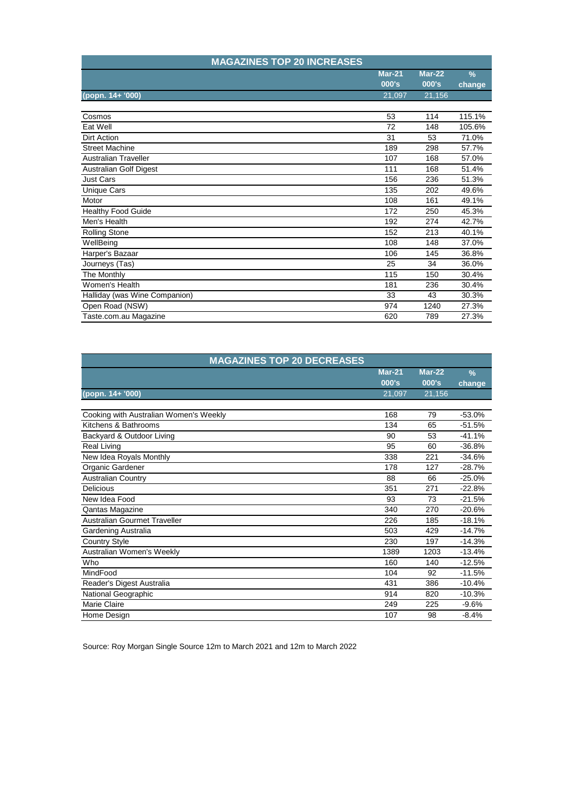| <b>MAGAZINES TOP 20 INCREASES</b> |               |          |        |
|-----------------------------------|---------------|----------|--------|
|                                   | <b>Mar-21</b> | $Mar-22$ | $\%$   |
|                                   | 000's         | 000's    | change |
| (popn. 14+ '000)                  | 21,097        | 21,156   |        |
|                                   |               |          |        |
| Cosmos                            | 53            | 114      | 115.1% |
| Eat Well                          | 72            | 148      | 105.6% |
| <b>Dirt Action</b>                | 31            | 53       | 71.0%  |
| <b>Street Machine</b>             | 189           | 298      | 57.7%  |
| <b>Australian Traveller</b>       | 107           | 168      | 57.0%  |
| <b>Australian Golf Digest</b>     | 111           | 168      | 51.4%  |
| <b>Just Cars</b>                  | 156           | 236      | 51.3%  |
| Unique Cars                       | 135           | 202      | 49.6%  |
| Motor                             | 108           | 161      | 49.1%  |
| <b>Healthy Food Guide</b>         | 172           | 250      | 45.3%  |
| Men's Health                      | 192           | 274      | 42.7%  |
| <b>Rolling Stone</b>              | 152           | 213      | 40.1%  |
| WellBeing                         | 108           | 148      | 37.0%  |
| Harper's Bazaar                   | 106           | 145      | 36.8%  |
| Journeys (Tas)                    | 25            | 34       | 36.0%  |
| The Monthly                       | 115           | 150      | 30.4%  |
| Women's Health                    | 181           | 236      | 30.4%  |
| Halliday (was Wine Companion)     | 33            | 43       | 30.3%  |
| Open Road (NSW)                   | 974           | 1240     | 27.3%  |
| Taste.com.au Magazine             | 620           | 789      | 27.3%  |

| <b>MAGAZINES TOP 20 DECREASES</b>      |               |          |               |
|----------------------------------------|---------------|----------|---------------|
|                                        | <b>Mar-21</b> | $Mar-22$ | $\frac{9}{6}$ |
|                                        | 000's         | 000's    | change        |
| (popn. 14+ '000)                       | 21,097        | 21,156   |               |
|                                        |               |          |               |
| Cooking with Australian Women's Weekly | 168           | 79       | $-53.0%$      |
| Kitchens & Bathrooms                   | 134           | 65       | $-51.5%$      |
| Backyard & Outdoor Living              | 90            | 53       | $-41.1%$      |
| <b>Real Living</b>                     | 95            | 60       | $-36.8%$      |
| New Idea Royals Monthly                | 338           | 221      | $-34.6%$      |
| Organic Gardener                       | 178           | 127      | $-28.7%$      |
| <b>Australian Country</b>              | 88            | 66       | $-25.0%$      |
| <b>Delicious</b>                       | 351           | 271      | $-22.8%$      |
| New Idea Food                          | 93            | 73       | $-21.5%$      |
| Qantas Magazine                        | 340           | 270      | $-20.6%$      |
| Australian Gourmet Traveller           | 226           | 185      | $-18.1%$      |
| Gardening Australia                    | 503           | 429      | $-14.7%$      |
| <b>Country Style</b>                   | 230           | 197      | $-14.3%$      |
| Australian Women's Weekly              | 1389          | 1203     | $-13.4%$      |
| Who                                    | 160           | 140      | $-12.5%$      |
| MindFood                               | 104           | 92       | $-11.5%$      |
| Reader's Digest Australia              | 431           | 386      | $-10.4%$      |
| National Geographic                    | 914           | 820      | $-10.3%$      |
| <b>Marie Claire</b>                    | 249           | 225      | $-9.6%$       |
| Home Design                            | 107           | 98       | $-8.4%$       |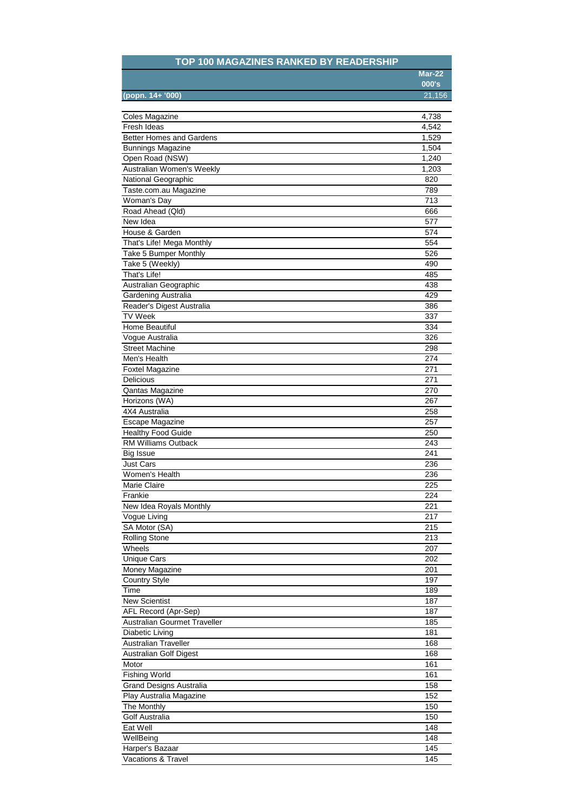## **TOP 100 MAGAZINES RANKED BY READERSHIP**

|                  | Mar-22 |
|------------------|--------|
|                  | 000's  |
| (popn. 14+ '000) | 21,156 |
|                  |        |

| Coles Magazine                  | 4,738 |
|---------------------------------|-------|
| Fresh Ideas                     | 4,542 |
| <b>Better Homes and Gardens</b> | 1,529 |
| <b>Bunnings Magazine</b>        | 1,504 |
| Open Road (NSW)                 | 1,240 |
| Australian Women's Weekly       | 1,203 |
| National Geographic             | 820   |
| Taste.com.au Magazine           | 789   |
| Woman's Day                     | 713   |
| Road Ahead (Qld)                | 666   |
| New Idea                        | 577   |
| House & Garden                  | 574   |
| That's Life! Mega Monthly       | 554   |
| Take 5 Bumper Monthly           | 526   |
| Take 5 (Weekly)                 | 490   |
| That's Life!                    | 485   |
| Australian Geographic           | 438   |
| Gardening Australia             | 429   |
| Reader's Digest Australia       | 386   |
|                                 |       |
| <b>TV Week</b>                  | 337   |
| Home Beautiful                  | 334   |
| Voque Australia                 | 326   |
| <b>Street Machine</b>           | 298   |
| Men's Health                    | 274   |
| <b>Foxtel Magazine</b>          | 271   |
| Delicious                       | 271   |
| Qantas Magazine                 | 270   |
| Horizons (WA)                   | 267   |
| 4X4 Australia                   | 258   |
| Escape Magazine                 | 257   |
| <b>Healthy Food Guide</b>       | 250   |
| <b>RM Williams Outback</b>      | 243   |
| <b>Big Issue</b>                | 241   |
| <b>Just Cars</b>                | 236   |
| Women's Health                  | 236   |
| Marie Claire                    | 225   |
| Frankie                         | 224   |
| New Idea Royals Monthly         | 221   |
| Vogue Living                    | 217   |
| SA Motor (SA)                   | 215   |
| <b>Rolling Stone</b>            | 213   |
| Wheels                          | 207   |
| <b>Unique Cars</b>              | 202   |
| Money Magazine                  | 201   |
| <b>Country Style</b>            | 197   |
| Time                            | 189   |
| <b>New Scientist</b>            | 187   |
| AFL Record (Apr-Sep)            | 187   |
| Australian Gourmet Traveller    | 185   |
| <b>Diabetic Living</b>          | 181   |
| <b>Australian Traveller</b>     | 168   |
|                                 | 168   |
| Australian Golf Digest          |       |
| Motor                           | 161   |
| <b>Fishing World</b>            | 161   |
| <b>Grand Designs Australia</b>  | 158   |
| Play Australia Magazine         | 152   |
| The Monthly                     | 150   |
| Golf Australia                  | 150   |
| Eat Well                        | 148   |
| WellBeing                       | 148   |
| Harper's Bazaar                 | 145   |
| Vacations & Travel              | 145   |